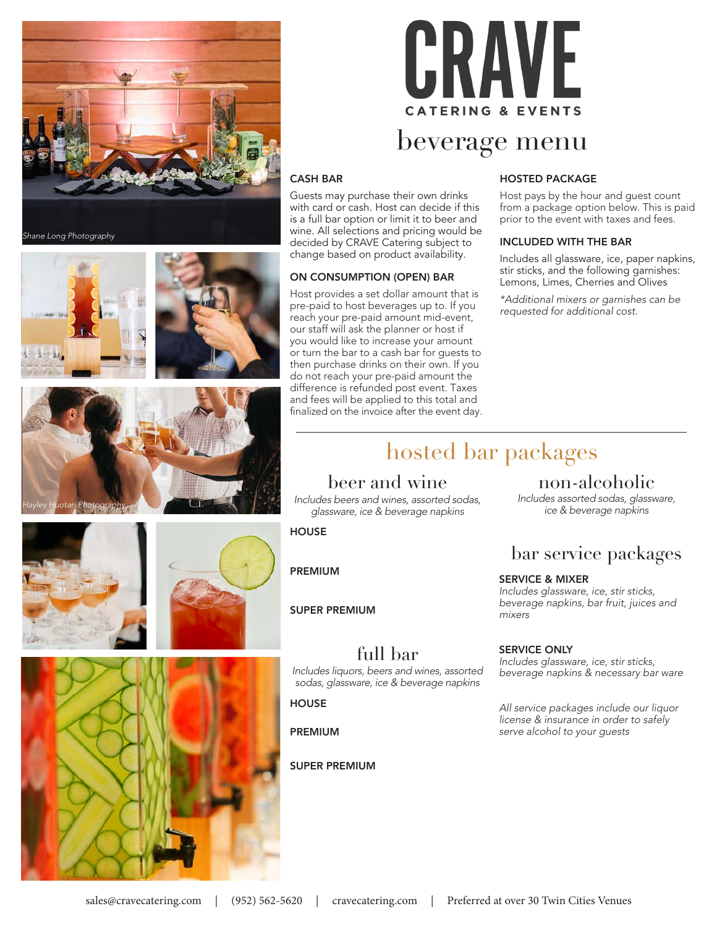







## beverage menu

#### CASH BAR

Guests may purchase their own drinks with card or cash. Host can decide if this is a full bar option or limit it to beer and wine. All selections and pricing would be decided by CRAVE Catering subject to change based on product availability.

#### ON CONSUMPTION (OPEN) BAR

Host provides a set dollar amount that is pre-paid to host beverages up to. If you reach your pre-paid amount mid-event, our staff will ask the planner or host if you would like to increase your amount or turn the bar to a cash bar for guests to then purchase drinks on their own. If you do not reach your pre-paid amount the difference is refunded post event. Taxes and fees will be applied to this total and finalized on the invoice after the event day.

#### HOSTED PACKAGE

Host pays by the hour and guest count from a package option below. This is paid prior to the event with taxes and fees.

#### INCLUDED WITH THE BAR

Includes all glassware, ice, paper napkins, stir sticks, and the following garnishes: Lemons, Limes, Cherries and Olives

*\*Additional mixers or garnishes can be requested for additional cost.*



## beer and wine

*Includes beers and wines, assorted sodas, glassware, ice & beverage napkins*

full bar *Includes liquors, beers and wines, assorted sodas, glassware, ice & beverage napkins*

**HOUSE** 

PREMIUM

**HOUSE** 

PREMIUM

SUPER PREMIUM

SUPER PREMIUM

### non-alcoholic

*Includes assorted sodas, glassware, ice & beverage napkins*

## bar service packages

#### SERVICE & MIXER

*Includes glassware, ice, stir sticks, beverage napkins, bar fruit, juices and mixers*

#### SERVICE ONLY

*Includes glassware, ice, stir sticks, beverage napkins & necessary bar ware*

*All service packages include our liquor license & insurance in order to safely serve alcohol to your guests*